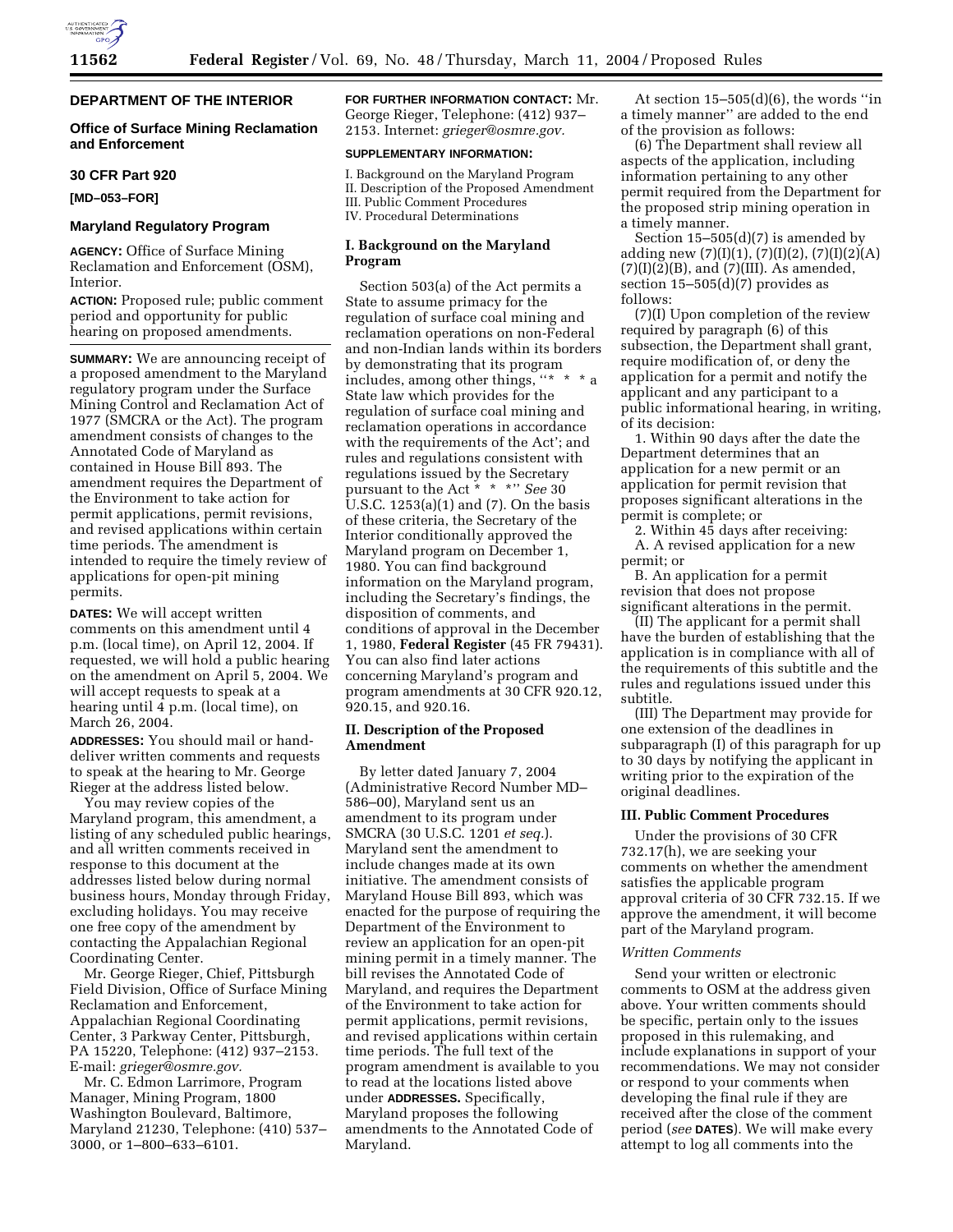

# **DEPARTMENT OF THE INTERIOR**

### **Office of Surface Mining Reclamation and Enforcement**

#### **30 CFR Part 920**

**[MD–053–FOR]** 

### **Maryland Regulatory Program**

**AGENCY:** Office of Surface Mining Reclamation and Enforcement (OSM), Interior.

**ACTION:** Proposed rule; public comment period and opportunity for public hearing on proposed amendments.

**SUMMARY:** We are announcing receipt of a proposed amendment to the Maryland regulatory program under the Surface Mining Control and Reclamation Act of 1977 (SMCRA or the Act). The program amendment consists of changes to the Annotated Code of Maryland as contained in House Bill 893. The amendment requires the Department of the Environment to take action for permit applications, permit revisions, and revised applications within certain time periods. The amendment is intended to require the timely review of applications for open-pit mining permits.

**DATES:** We will accept written comments on this amendment until 4 p.m. (local time), on April 12, 2004. If requested, we will hold a public hearing on the amendment on April 5, 2004. We will accept requests to speak at a hearing until 4 p.m. (local time), on March 26, 2004.

**ADDRESSES:** You should mail or handdeliver written comments and requests to speak at the hearing to Mr. George Rieger at the address listed below.

You may review copies of the Maryland program, this amendment, a listing of any scheduled public hearings, and all written comments received in response to this document at the addresses listed below during normal business hours, Monday through Friday, excluding holidays. You may receive one free copy of the amendment by contacting the Appalachian Regional Coordinating Center.

Mr. George Rieger, Chief, Pittsburgh Field Division, Office of Surface Mining Reclamation and Enforcement, Appalachian Regional Coordinating Center, 3 Parkway Center, Pittsburgh, PA 15220, Telephone: (412) 937–2153. E-mail: *grieger@osmre.gov.*

Mr. C. Edmon Larrimore, Program Manager, Mining Program, 1800 Washington Boulevard, Baltimore, Maryland 21230, Telephone: (410) 537– 3000, or 1–800–633–6101.

**FOR FURTHER INFORMATION CONTACT:** Mr. George Rieger, Telephone: (412) 937– 2153. Internet: *grieger@osmre.gov.*

#### **SUPPLEMENTARY INFORMATION:**

I. Background on the Maryland Program II. Description of the Proposed Amendment III. Public Comment Procedures IV. Procedural Determinations

# **I. Background on the Maryland Program**

Section 503(a) of the Act permits a State to assume primacy for the regulation of surface coal mining and reclamation operations on non-Federal and non-Indian lands within its borders by demonstrating that its program includes, among other things, ''\* \* \* a State law which provides for the regulation of surface coal mining and reclamation operations in accordance with the requirements of the Act'; and rules and regulations consistent with regulations issued by the Secretary pursuant to the Act \* \* \*'' *See* 30 U.S.C. 1253(a)(1) and (7). On the basis of these criteria, the Secretary of the Interior conditionally approved the Maryland program on December 1, 1980. You can find background information on the Maryland program, including the Secretary's findings, the disposition of comments, and conditions of approval in the December 1, 1980, **Federal Register** (45 FR 79431). You can also find later actions concerning Maryland's program and program amendments at 30 CFR 920.12, 920.15, and 920.16.

### **II. Description of the Proposed Amendment**

By letter dated January 7, 2004 (Administrative Record Number MD– 586–00), Maryland sent us an amendment to its program under SMCRA (30 U.S.C. 1201 *et seq.*). Maryland sent the amendment to include changes made at its own initiative. The amendment consists of Maryland House Bill 893, which was enacted for the purpose of requiring the Department of the Environment to review an application for an open-pit mining permit in a timely manner. The bill revises the Annotated Code of Maryland, and requires the Department of the Environment to take action for permit applications, permit revisions, and revised applications within certain time periods. The full text of the program amendment is available to you to read at the locations listed above under **ADDRESSES.** Specifically, Maryland proposes the following amendments to the Annotated Code of Maryland.

At section  $15-505(d)(6)$ , the words "in a timely manner'' are added to the end of the provision as follows:

(6) The Department shall review all aspects of the application, including information pertaining to any other permit required from the Department for the proposed strip mining operation in a timely manner.

Section  $15-505(d)(7)$  is amended by adding new  $(7)(I)(1)$ ,  $(7)(I)(2)$ ,  $(7)(I)(2)(A)$  $(7)(I)(2)(B)$ , and  $(7)(III)$ . As amended, section 15–505(d)(7) provides as follows:

(7)(I) Upon completion of the review required by paragraph (6) of this subsection, the Department shall grant, require modification of, or deny the application for a permit and notify the applicant and any participant to a public informational hearing, in writing, of its decision:

1. Within 90 days after the date the Department determines that an application for a new permit or an application for permit revision that proposes significant alterations in the permit is complete; or

2. Within 45 days after receiving: A. A revised application for a new permit; or

B. An application for a permit revision that does not propose significant alterations in the permit.

(II) The applicant for a permit shall have the burden of establishing that the application is in compliance with all of the requirements of this subtitle and the rules and regulations issued under this subtitle.

(III) The Department may provide for one extension of the deadlines in subparagraph (I) of this paragraph for up to 30 days by notifying the applicant in writing prior to the expiration of the original deadlines.

#### **III. Public Comment Procedures**

Under the provisions of 30 CFR 732.17(h), we are seeking your comments on whether the amendment satisfies the applicable program approval criteria of 30 CFR 732.15. If we approve the amendment, it will become part of the Maryland program.

#### *Written Comments*

Send your written or electronic comments to OSM at the address given above. Your written comments should be specific, pertain only to the issues proposed in this rulemaking, and include explanations in support of your recommendations. We may not consider or respond to your comments when developing the final rule if they are received after the close of the comment period (*see* **DATES**). We will make every attempt to log all comments into the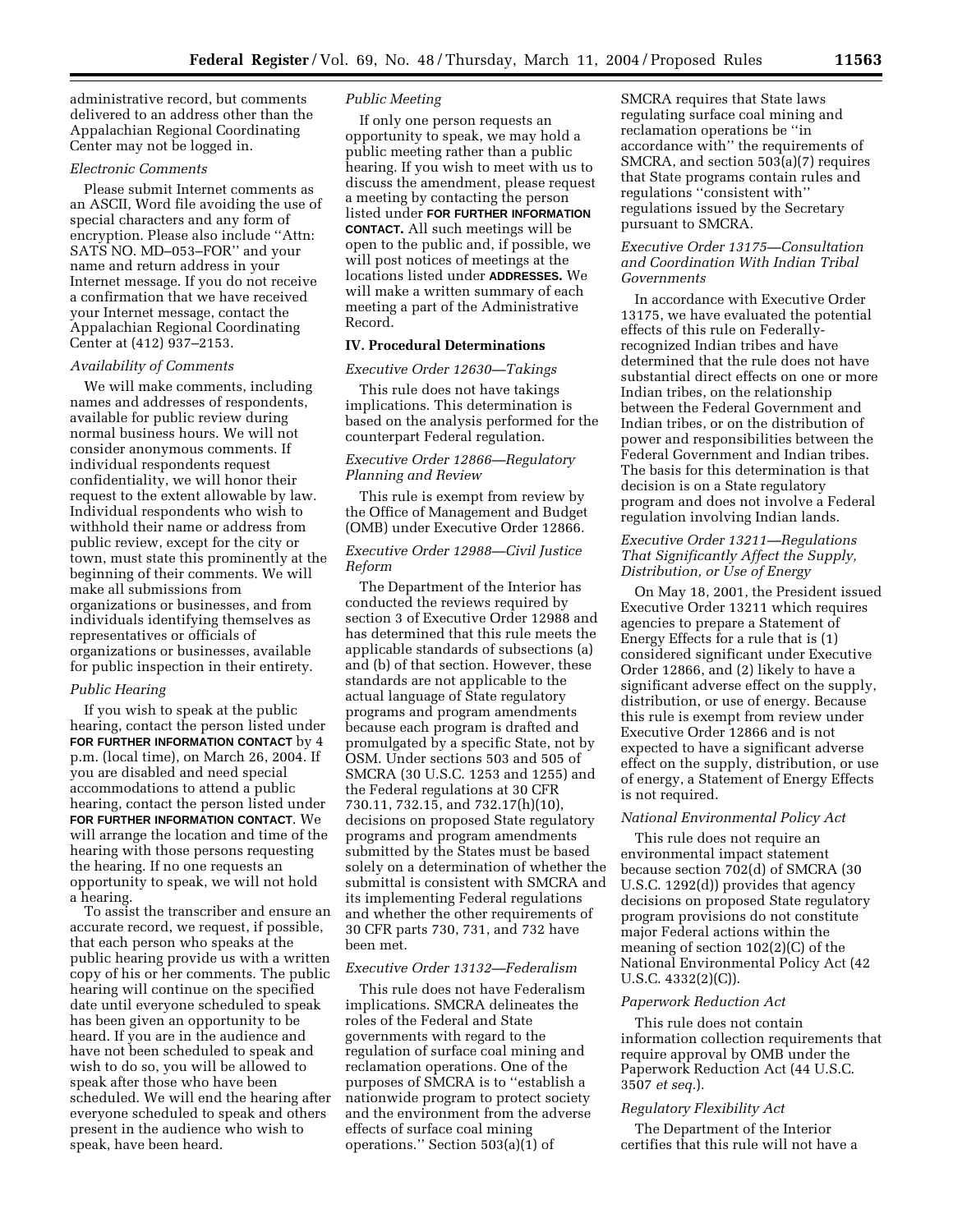administrative record, but comments delivered to an address other than the Appalachian Regional Coordinating Center may not be logged in.

### *Electronic Comments*

Please submit Internet comments as an ASCII, Word file avoiding the use of special characters and any form of encryption. Please also include ''Attn: SATS NO. MD–053–FOR'' and your name and return address in your Internet message. If you do not receive a confirmation that we have received your Internet message, contact the Appalachian Regional Coordinating Center at (412) 937–2153.

# *Availability of Comments*

We will make comments, including names and addresses of respondents, available for public review during normal business hours. We will not consider anonymous comments. If individual respondents request confidentiality, we will honor their request to the extent allowable by law. Individual respondents who wish to withhold their name or address from public review, except for the city or town, must state this prominently at the beginning of their comments. We will make all submissions from organizations or businesses, and from individuals identifying themselves as representatives or officials of organizations or businesses, available for public inspection in their entirety.

### *Public Hearing*

If you wish to speak at the public hearing, contact the person listed under **FOR FURTHER INFORMATION CONTACT** by 4 p.m. (local time), on March 26, 2004. If you are disabled and need special accommodations to attend a public hearing, contact the person listed under **FOR FURTHER INFORMATION CONTACT**. We will arrange the location and time of the hearing with those persons requesting the hearing. If no one requests an opportunity to speak, we will not hold a hearing.

To assist the transcriber and ensure an accurate record, we request, if possible, that each person who speaks at the public hearing provide us with a written copy of his or her comments. The public hearing will continue on the specified date until everyone scheduled to speak has been given an opportunity to be heard. If you are in the audience and have not been scheduled to speak and wish to do so, you will be allowed to speak after those who have been scheduled. We will end the hearing after everyone scheduled to speak and others present in the audience who wish to speak, have been heard.

### *Public Meeting*

If only one person requests an opportunity to speak, we may hold a public meeting rather than a public hearing. If you wish to meet with us to discuss the amendment, please request a meeting by contacting the person listed under **FOR FURTHER INFORMATION CONTACT.** All such meetings will be open to the public and, if possible, we will post notices of meetings at the locations listed under **ADDRESSES.** We will make a written summary of each meeting a part of the Administrative Record.

# **IV. Procedural Determinations**

# *Executive Order 12630—Takings*

This rule does not have takings implications. This determination is based on the analysis performed for the counterpart Federal regulation.

# *Executive Order 12866—Regulatory Planning and Review*

This rule is exempt from review by the Office of Management and Budget (OMB) under Executive Order 12866.

# *Executive Order 12988—Civil Justice Reform*

The Department of the Interior has conducted the reviews required by section 3 of Executive Order 12988 and has determined that this rule meets the applicable standards of subsections (a) and (b) of that section. However, these standards are not applicable to the actual language of State regulatory programs and program amendments because each program is drafted and promulgated by a specific State, not by OSM. Under sections 503 and 505 of SMCRA (30 U.S.C. 1253 and 1255) and the Federal regulations at 30 CFR 730.11, 732.15, and 732.17(h)(10), decisions on proposed State regulatory programs and program amendments submitted by the States must be based solely on a determination of whether the submittal is consistent with SMCRA and its implementing Federal regulations and whether the other requirements of 30 CFR parts 730, 731, and 732 have been met.

#### *Executive Order 13132—Federalism*

This rule does not have Federalism implications. SMCRA delineates the roles of the Federal and State governments with regard to the regulation of surface coal mining and reclamation operations. One of the purposes of SMCRA is to ''establish a nationwide program to protect society and the environment from the adverse effects of surface coal mining operations.'' Section 503(a)(1) of

SMCRA requires that State laws regulating surface coal mining and reclamation operations be ''in accordance with'' the requirements of SMCRA, and section 503(a)(7) requires that State programs contain rules and regulations ''consistent with'' regulations issued by the Secretary pursuant to SMCRA.

# *Executive Order 13175—Consultation and Coordination With Indian Tribal Governments*

In accordance with Executive Order 13175, we have evaluated the potential effects of this rule on Federallyrecognized Indian tribes and have determined that the rule does not have substantial direct effects on one or more Indian tribes, on the relationship between the Federal Government and Indian tribes, or on the distribution of power and responsibilities between the Federal Government and Indian tribes. The basis for this determination is that decision is on a State regulatory program and does not involve a Federal regulation involving Indian lands.

# *Executive Order 13211—Regulations That Significantly Affect the Supply, Distribution, or Use of Energy*

On May 18, 2001, the President issued Executive Order 13211 which requires agencies to prepare a Statement of Energy Effects for a rule that is (1) considered significant under Executive Order 12866, and (2) likely to have a significant adverse effect on the supply, distribution, or use of energy. Because this rule is exempt from review under Executive Order 12866 and is not expected to have a significant adverse effect on the supply, distribution, or use of energy, a Statement of Energy Effects is not required.

#### *National Environmental Policy Act*

This rule does not require an environmental impact statement because section 702(d) of SMCRA (30 U.S.C. 1292(d)) provides that agency decisions on proposed State regulatory program provisions do not constitute major Federal actions within the meaning of section 102(2)(C) of the National Environmental Policy Act (42 U.S.C.  $4332(2)(C)$ ).

#### *Paperwork Reduction Act*

This rule does not contain information collection requirements that require approval by OMB under the Paperwork Reduction Act (44 U.S.C. 3507 *et seq.*).

#### *Regulatory Flexibility Act*

The Department of the Interior certifies that this rule will not have a